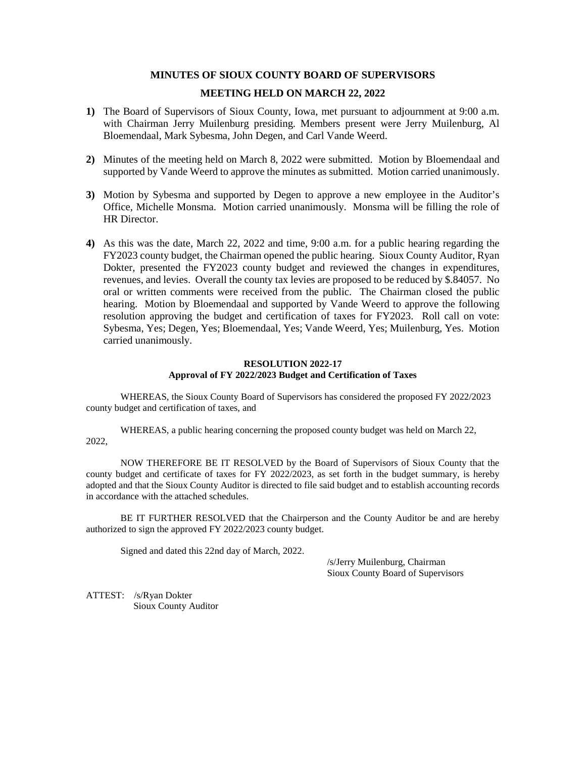# **MINUTES OF SIOUX COUNTY BOARD OF SUPERVISORS**

# **MEETING HELD ON MARCH 22, 2022**

- **1)** The Board of Supervisors of Sioux County, Iowa, met pursuant to adjournment at 9:00 a.m. with Chairman Jerry Muilenburg presiding. Members present were Jerry Muilenburg, Al Bloemendaal, Mark Sybesma, John Degen, and Carl Vande Weerd.
- **2)** Minutes of the meeting held on March 8, 2022 were submitted. Motion by Bloemendaal and supported by Vande Weerd to approve the minutes as submitted. Motion carried unanimously.
- **3)** Motion by Sybesma and supported by Degen to approve a new employee in the Auditor's Office, Michelle Monsma. Motion carried unanimously. Monsma will be filling the role of HR Director.
- **4)** As this was the date, March 22, 2022 and time, 9:00 a.m. for a public hearing regarding the FY2023 county budget, the Chairman opened the public hearing. Sioux County Auditor, Ryan Dokter, presented the FY2023 county budget and reviewed the changes in expenditures, revenues, and levies. Overall the county tax levies are proposed to be reduced by \$.84057. No oral or written comments were received from the public. The Chairman closed the public hearing. Motion by Bloemendaal and supported by Vande Weerd to approve the following resolution approving the budget and certification of taxes for FY2023. Roll call on vote: Sybesma, Yes; Degen, Yes; Bloemendaal, Yes; Vande Weerd, Yes; Muilenburg, Yes. Motion carried unanimously.

# **RESOLUTION 2022-17 Approval of FY 2022/2023 Budget and Certification of Taxes**

WHEREAS, the Sioux County Board of Supervisors has considered the proposed FY 2022/2023 county budget and certification of taxes, and

WHEREAS, a public hearing concerning the proposed county budget was held on March 22, 2022,

NOW THEREFORE BE IT RESOLVED by the Board of Supervisors of Sioux County that the county budget and certificate of taxes for FY 2022/2023, as set forth in the budget summary, is hereby adopted and that the Sioux County Auditor is directed to file said budget and to establish accounting records in accordance with the attached schedules.

BE IT FURTHER RESOLVED that the Chairperson and the County Auditor be and are hereby authorized to sign the approved FY 2022/2023 county budget.

Signed and dated this 22nd day of March, 2022.

/s/Jerry Muilenburg, Chairman Sioux County Board of Supervisors

ATTEST: /s/Ryan Dokter Sioux County Auditor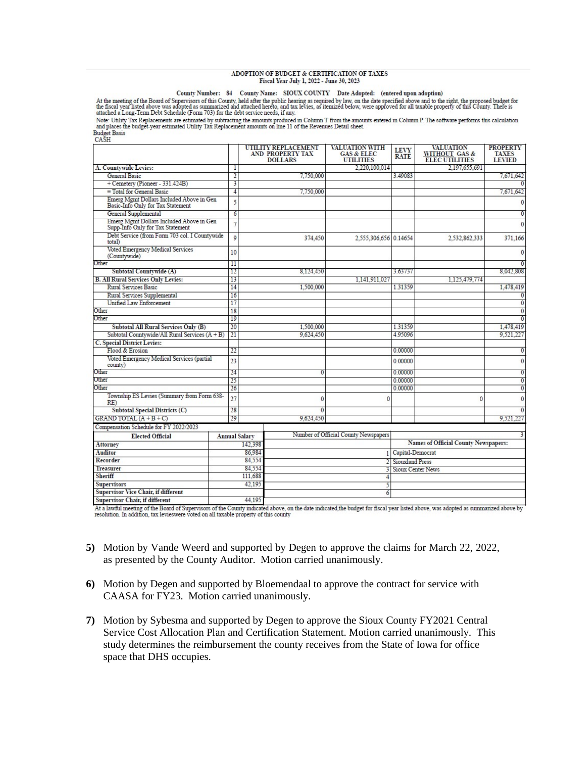#### ADOPTION OF BUDGET & CERTIFICATION OF TAXES Fiscal Year July 1, 2022 - June 30, 2023

#### County Number: 84 County Name: SIOUX COUNTY Date Adopted: (entered upon adoption)

At the meeting of the Board of Sorat of Summarized and attached hereto, and tax is required by law, on the date specified above and to the right, the proposed budget for the fiscal year listed above was adopted as summariz

Note: Utility Tax Replacements are estimated by subtracting the amounts produced in Column T from the amounts entered in Column P. The software performs this calculation and places the budget-year estimated Utility Tax Rep Budget Basis<br>CASH

|                                                                               |        |                      | <b>UTILITY REPLACEMENT</b><br>AND PROPERTY TAX<br><b>DOLLARS</b> | <b>VALUATION WITH</b><br><b>GAS &amp; ELEC</b><br><b>UTILITIES</b> | <b>LEVY</b><br><b>RATE</b> | <b>VALUATION</b><br>WITHOUT GAS & ELEC UTILITIES | <b>PROPERTY</b><br><b>TAXES</b><br><b>LEVIED</b> |  |
|-------------------------------------------------------------------------------|--------|----------------------|------------------------------------------------------------------|--------------------------------------------------------------------|----------------------------|--------------------------------------------------|--------------------------------------------------|--|
| A. Countywide Levies:                                                         |        | $\mathbf{1}$         |                                                                  | 2.220.100.014                                                      |                            | 2.197.655.691                                    |                                                  |  |
| General Basic                                                                 |        | $\overline{2}$       | 7,750,000                                                        |                                                                    | 3.49083                    |                                                  | 7.671.642                                        |  |
| + Cemetery (Pioneer - 331.424B)                                               |        | 3                    |                                                                  |                                                                    |                            |                                                  |                                                  |  |
| $=$ Total for General Basic                                                   |        | 4                    | 7.750,000                                                        |                                                                    |                            |                                                  | 7.671.642                                        |  |
| Emerg Mgmt Dollars Included Above in Gen<br>Basic-Info Only for Tax Statement |        | 5                    |                                                                  |                                                                    |                            |                                                  | 0                                                |  |
| General Supplemental                                                          |        | $\overline{6}$       |                                                                  |                                                                    |                            |                                                  | $\overline{0}$                                   |  |
| Emerg Mgmt Dollars Included Above in Gen<br>Supp-Info Only for Tax Statement  |        | $\overline{7}$       |                                                                  |                                                                    |                            |                                                  | $\theta$                                         |  |
| Debt Service (from Form 703 col. I Countywide<br>total)                       |        | 9                    | 374,450                                                          | 2,555,306,656 0.14654                                              |                            | 2,532,862,333                                    | 371,166                                          |  |
| Voted Emergency Medical Services<br>(Countywide)                              |        | 10                   |                                                                  |                                                                    |                            |                                                  | $\mathbf{0}$                                     |  |
| Other                                                                         |        | 11                   |                                                                  |                                                                    |                            |                                                  |                                                  |  |
| Subtotal Countywide (A)                                                       |        | 12                   | 8.124.450                                                        |                                                                    | 3.63737                    |                                                  | 8.042.808                                        |  |
| <b>B. All Rural Services Only Levies:</b>                                     |        | 13                   |                                                                  | 1.141.911.027                                                      |                            | 1.125,479,774                                    |                                                  |  |
| <b>Rural Services Basic</b>                                                   |        | 14                   | 1.500,000                                                        |                                                                    | 1.31359                    |                                                  | 1.478.419                                        |  |
| Rural Services Supplemental                                                   |        | 16                   |                                                                  |                                                                    |                            |                                                  | 0                                                |  |
| Unified Law Enforcement                                                       |        | 17                   |                                                                  |                                                                    |                            |                                                  | $\overline{0}$                                   |  |
| Other                                                                         |        | 18                   |                                                                  |                                                                    |                            |                                                  | $\Omega$                                         |  |
| Other                                                                         |        | 19                   |                                                                  |                                                                    |                            |                                                  | $\overline{0}$                                   |  |
| <b>Subtotal All Rural Services Only (B)</b>                                   |        | 20                   | 1.500.000                                                        |                                                                    | 1.31359                    |                                                  | 1.478.419                                        |  |
| Subtotal Countywide/All Rural Services (A + B)                                |        | 21                   | 9.624.450                                                        |                                                                    | 4 9 5 0 9 6                |                                                  | 9.521.227                                        |  |
| C. Special District Levies:                                                   |        |                      |                                                                  |                                                                    |                            |                                                  |                                                  |  |
| Flood & Erosion                                                               |        | 22                   |                                                                  |                                                                    | 0.00000                    |                                                  | $\mathbf{0}$                                     |  |
| Voted Emergency Medical Services (partial<br>county)                          |        | 23                   |                                                                  |                                                                    | 0.00000                    |                                                  | 0                                                |  |
| Other                                                                         |        | 24                   | 0                                                                |                                                                    | 0.00000                    |                                                  | 0                                                |  |
| Other                                                                         |        | 25                   |                                                                  |                                                                    | 0.00000                    |                                                  | $\overline{0}$                                   |  |
| Other                                                                         |        | 26                   |                                                                  |                                                                    | 0.00000                    |                                                  | 0                                                |  |
| Township ES Levies (Summary from Form 638-<br>RE)                             |        | 27                   | 0                                                                | O                                                                  |                            | $\Omega$                                         | $\mathbf{0}$                                     |  |
| Subtotal Special Districts (C)                                                |        | 28                   | 0                                                                |                                                                    |                            |                                                  |                                                  |  |
| GRAND TOTAL $(A + B + C)$                                                     |        | 29                   | 9.624.450                                                        |                                                                    |                            |                                                  | 9.521.227                                        |  |
| Compensation Schedule for FY 2022/2023                                        |        |                      |                                                                  |                                                                    |                            |                                                  |                                                  |  |
| <b>Elected Official</b>                                                       |        | <b>Annual Salary</b> |                                                                  | Number of Official County Newspapers                               |                            |                                                  |                                                  |  |
| <b>Attorney</b>                                                               |        | 142.398              |                                                                  |                                                                    |                            | <b>Names of Official County Newspapers:</b>      |                                                  |  |
| <b>Auditor</b>                                                                |        | 86,984               |                                                                  |                                                                    | Capital-Democrat           |                                                  |                                                  |  |
| Recorder                                                                      | 84,554 |                      |                                                                  |                                                                    | <b>Siouxland Press</b>     |                                                  |                                                  |  |
| <b>Treasurer</b>                                                              | 84.554 |                      |                                                                  |                                                                    |                            | Sioux Center News                                |                                                  |  |
| Sheriff                                                                       |        | 111.688              |                                                                  |                                                                    |                            |                                                  |                                                  |  |
| <b>Supervisors</b>                                                            |        | 42.195               |                                                                  | 5                                                                  |                            |                                                  |                                                  |  |
| Supervisor Vice Chair, if different                                           |        |                      |                                                                  | 6                                                                  |                            |                                                  |                                                  |  |
| <b>Supervisor Chair, if different</b>                                         |        | 44.195               |                                                                  |                                                                    |                            |                                                  |                                                  |  |

At a lawful meeting of the Board of Supervisors of the County indicated above, on the date indicated the budget for fiscal year listed above, was adopted as summarized above by resolution. In addition, tax levieswere voted on all taxable property of this county

- **5)** Motion by Vande Weerd and supported by Degen to approve the claims for March 22, 2022, as presented by the County Auditor. Motion carried unanimously.
- **6)** Motion by Degen and supported by Bloemendaal to approve the contract for service with CAASA for FY23. Motion carried unanimously.
- **7)** Motion by Sybesma and supported by Degen to approve the Sioux County FY2021 Central Service Cost Allocation Plan and Certification Statement. Motion carried unanimously. This study determines the reimbursement the county receives from the State of Iowa for office space that DHS occupies.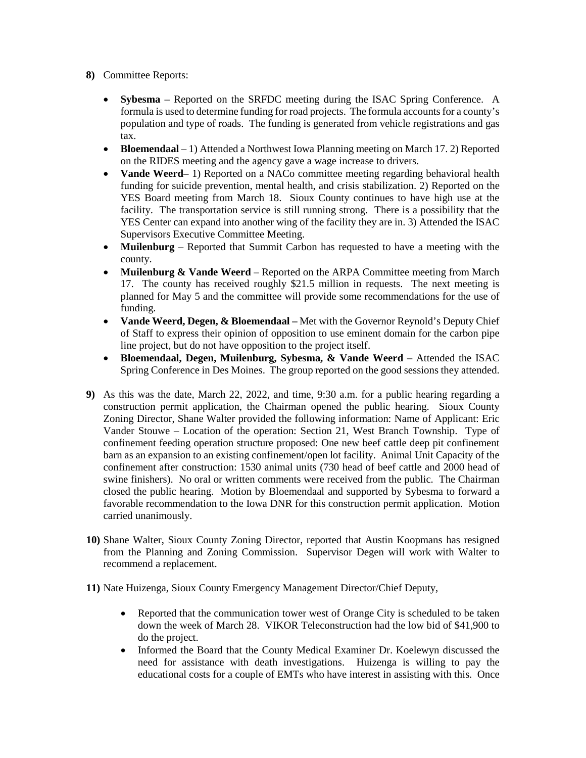- **8)** Committee Reports:
	- **Sybesma** Reported on the SRFDC meeting during the ISAC Spring Conference. A formula is used to determine funding for road projects. The formula accounts for a county's population and type of roads. The funding is generated from vehicle registrations and gas tax.
	- **Bloemendaal**  1) Attended a Northwest Iowa Planning meeting on March 17. 2) Reported on the RIDES meeting and the agency gave a wage increase to drivers.
	- **Vande Weerd** 1) Reported on a NACo committee meeting regarding behavioral health funding for suicide prevention, mental health, and crisis stabilization. 2) Reported on the YES Board meeting from March 18. Sioux County continues to have high use at the facility. The transportation service is still running strong. There is a possibility that the YES Center can expand into another wing of the facility they are in. 3) Attended the ISAC Supervisors Executive Committee Meeting.
	- **Muilenburg** Reported that Summit Carbon has requested to have a meeting with the county.
	- **Muilenburg & Vande Weerd**  Reported on the ARPA Committee meeting from March 17. The county has received roughly \$21.5 million in requests. The next meeting is planned for May 5 and the committee will provide some recommendations for the use of funding.
	- **Vande Weerd, Degen, & Bloemendaal –** Met with the Governor Reynold's Deputy Chief of Staff to express their opinion of opposition to use eminent domain for the carbon pipe line project, but do not have opposition to the project itself.
	- **Bloemendaal, Degen, Muilenburg, Sybesma, & Vande Weerd –** Attended the ISAC Spring Conference in Des Moines. The group reported on the good sessions they attended.
- **9)** As this was the date, March 22, 2022, and time, 9:30 a.m. for a public hearing regarding a construction permit application, the Chairman opened the public hearing. Sioux County Zoning Director, Shane Walter provided the following information: Name of Applicant: Eric Vander Stouwe – Location of the operation: Section 21, West Branch Township. Type of confinement feeding operation structure proposed: One new beef cattle deep pit confinement barn as an expansion to an existing confinement/open lot facility. Animal Unit Capacity of the confinement after construction: 1530 animal units (730 head of beef cattle and 2000 head of swine finishers). No oral or written comments were received from the public. The Chairman closed the public hearing. Motion by Bloemendaal and supported by Sybesma to forward a favorable recommendation to the Iowa DNR for this construction permit application. Motion carried unanimously.
- **10)** Shane Walter, Sioux County Zoning Director, reported that Austin Koopmans has resigned from the Planning and Zoning Commission. Supervisor Degen will work with Walter to recommend a replacement.

**11)** Nate Huizenga, Sioux County Emergency Management Director/Chief Deputy,

- Reported that the communication tower west of Orange City is scheduled to be taken down the week of March 28. VIKOR Teleconstruction had the low bid of \$41,900 to do the project.
- Informed the Board that the County Medical Examiner Dr. Koelewyn discussed the need for assistance with death investigations. Huizenga is willing to pay the educational costs for a couple of EMTs who have interest in assisting with this. Once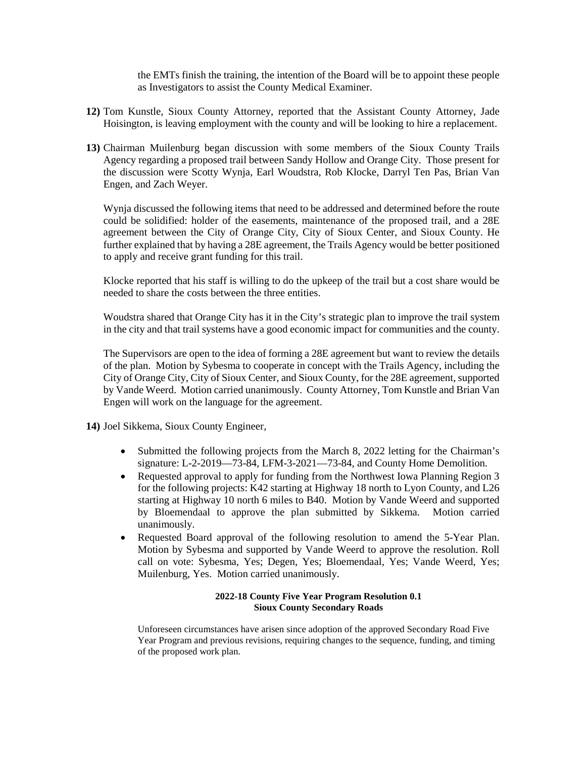the EMTs finish the training, the intention of the Board will be to appoint these people as Investigators to assist the County Medical Examiner.

- **12)** Tom Kunstle, Sioux County Attorney, reported that the Assistant County Attorney, Jade Hoisington, is leaving employment with the county and will be looking to hire a replacement.
- **13)** Chairman Muilenburg began discussion with some members of the Sioux County Trails Agency regarding a proposed trail between Sandy Hollow and Orange City. Those present for the discussion were Scotty Wynja, Earl Woudstra, Rob Klocke, Darryl Ten Pas, Brian Van Engen, and Zach Weyer.

Wynja discussed the following items that need to be addressed and determined before the route could be solidified: holder of the easements, maintenance of the proposed trail, and a 28E agreement between the City of Orange City, City of Sioux Center, and Sioux County. He further explained that by having a 28E agreement, the Trails Agency would be better positioned to apply and receive grant funding for this trail.

Klocke reported that his staff is willing to do the upkeep of the trail but a cost share would be needed to share the costs between the three entities.

Woudstra shared that Orange City has it in the City's strategic plan to improve the trail system in the city and that trail systems have a good economic impact for communities and the county.

The Supervisors are open to the idea of forming a 28E agreement but want to review the details of the plan. Motion by Sybesma to cooperate in concept with the Trails Agency, including the City of Orange City, City of Sioux Center, and Sioux County, for the 28E agreement, supported by Vande Weerd. Motion carried unanimously. County Attorney, Tom Kunstle and Brian Van Engen will work on the language for the agreement.

**14)** Joel Sikkema, Sioux County Engineer,

- Submitted the following projects from the March 8, 2022 letting for the Chairman's signature: L-2-2019—73-84, LFM-3-2021—73-84, and County Home Demolition.
- Requested approval to apply for funding from the Northwest Iowa Planning Region 3 for the following projects: K42 starting at Highway 18 north to Lyon County, and L26 starting at Highway 10 north 6 miles to B40. Motion by Vande Weerd and supported by Bloemendaal to approve the plan submitted by Sikkema. Motion carried unanimously.
- Requested Board approval of the following resolution to amend the 5-Year Plan. Motion by Sybesma and supported by Vande Weerd to approve the resolution. Roll call on vote: Sybesma, Yes; Degen, Yes; Bloemendaal, Yes; Vande Weerd, Yes; Muilenburg, Yes. Motion carried unanimously.

# **2022-18 County Five Year Program Resolution 0.1 Sioux County Secondary Roads**

Unforeseen circumstances have arisen since adoption of the approved Secondary Road Five Year Program and previous revisions, requiring changes to the sequence, funding, and timing of the proposed work plan.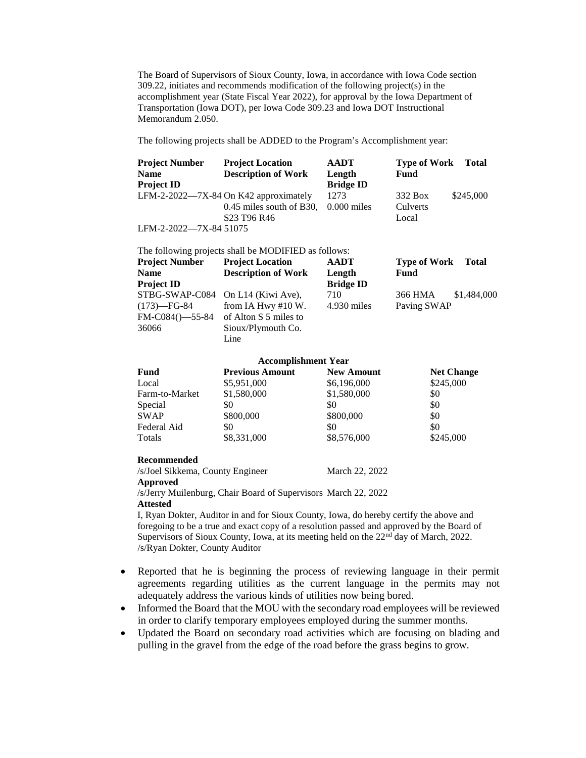The Board of Supervisors of Sioux County, Iowa, in accordance with Iowa Code section 309.22, initiates and recommends modification of the following project(s) in the accomplishment year (State Fiscal Year 2022), for approval by the Iowa Department of Transportation (Iowa DOT), per Iowa Code 309.23 and Iowa DOT Instructional Memorandum 2.050.

The following projects shall be ADDED to the Program's Accomplishment year:

| <b>Project Number</b>  | <b>Project Location</b>                         | AADT             | <b>Type of Work</b> | <b>Total</b> |
|------------------------|-------------------------------------------------|------------------|---------------------|--------------|
| <b>Name</b>            | <b>Description of Work</b>                      | Length           | <b>Fund</b>         |              |
| <b>Project ID</b>      |                                                 | <b>Bridge ID</b> |                     |              |
|                        | LFM-2-2022—7X-84 On K42 approximately           | 1273             | 332 Box             | \$245,000    |
|                        | $0.45$ miles south of B30, $0.000$ miles        |                  | Culverts            |              |
|                        | S <sub>23</sub> T <sub>96</sub> R <sub>46</sub> |                  | Local               |              |
| LFM-2-2022—7X-84 51075 |                                                 |                  |                     |              |

The following projects shall be MODIFIED as follows: **Project Number Project Location AADT Type of Work Total Name Description of Work Length Fund Project ID Bridge ID** STBG-SWAP-C084 On L14 (Kiwi Ave), 710 366 HMA \$1,484,000  $(173)$ —FG-84 from IA Hwy #10 W. 4.930 miles Paving SWAP FM-C084()—55-84 of Alton S 5 miles to 36066 Sioux/Plymouth Co. Line

| <b>Accomplishment Year</b> |                        |                   |                   |  |  |  |  |
|----------------------------|------------------------|-------------------|-------------------|--|--|--|--|
| Fund                       | <b>Previous Amount</b> | <b>New Amount</b> | <b>Net Change</b> |  |  |  |  |
| Local                      | \$5,951,000            | \$6,196,000       | \$245,000         |  |  |  |  |
| Farm-to-Market             | \$1,580,000            | \$1,580,000       | \$0               |  |  |  |  |
| Special                    | \$0                    | \$0               | \$0               |  |  |  |  |
| <b>SWAP</b>                | \$800,000              | \$800,000         | \$0               |  |  |  |  |
| Federal Aid                | \$0                    | \$0               | \$0               |  |  |  |  |
| Totals                     | \$8,331,000            | \$8,576,000       | \$245,000         |  |  |  |  |

### **Recommended**

/s/Joel Sikkema, County Engineer March 22, 2022 **Approved** /s/Jerry Muilenburg, Chair Board of Supervisors March 22, 2022

### **Attested**

I, Ryan Dokter, Auditor in and for Sioux County, Iowa, do hereby certify the above and foregoing to be a true and exact copy of a resolution passed and approved by the Board of Supervisors of Sioux County, Iowa, at its meeting held on the 22<sup>nd</sup> day of March, 2022. /s/Ryan Dokter, County Auditor

- Reported that he is beginning the process of reviewing language in their permit agreements regarding utilities as the current language in the permits may not adequately address the various kinds of utilities now being bored.
- Informed the Board that the MOU with the secondary road employees will be reviewed in order to clarify temporary employees employed during the summer months.
- Updated the Board on secondary road activities which are focusing on blading and pulling in the gravel from the edge of the road before the grass begins to grow.